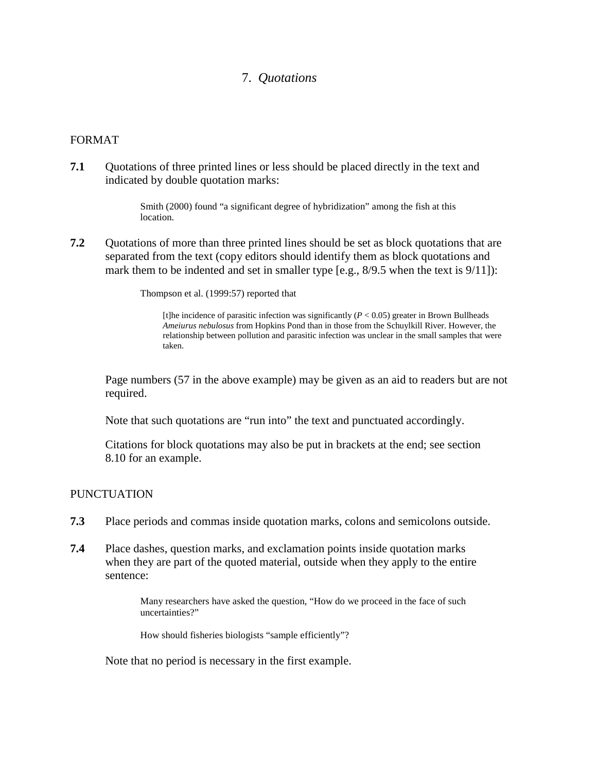## 7. *Quotations*

## FORMAT

**7.1** Quotations of three printed lines or less should be placed directly in the text and indicated by double quotation marks:

> Smith (2000) found "a significant degree of hybridization" among the fish at this location.

**7.2** Quotations of more than three printed lines should be set as block quotations that are separated from the text (copy editors should identify them as block quotations and mark them to be indented and set in smaller type [e.g., 8/9.5 when the text is 9/11]):

Thompson et al. (1999:57) reported that

[t]he incidence of parasitic infection was significantly  $(P < 0.05)$  greater in Brown Bullheads *Ameiurus nebulosus* from Hopkins Pond than in those from the Schuylkill River. However, the relationship between pollution and parasitic infection was unclear in the small samples that were taken.

Page numbers (57 in the above example) may be given as an aid to readers but are not required.

Note that such quotations are "run into" the text and punctuated accordingly.

Citations for block quotations may also be put in brackets at the end; see section 8.10 for an example.

## PUNCTUATION

- **7.3** Place periods and commas inside quotation marks, colons and semicolons outside.
- **7.4** Place dashes, question marks, and exclamation points inside quotation marks when they are part of the quoted material, outside when they apply to the entire sentence:

Many researchers have asked the question, "How do we proceed in the face of such uncertainties?"

How should fisheries biologists "sample efficiently"?

Note that no period is necessary in the first example.